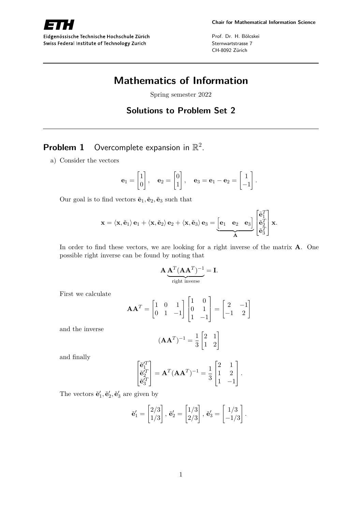

Eidgenössische Technische Hochschule Zürich Swiss Federal Institute of Technology Zurich

Prof. Dr. H. Bölcskei Sternwartstrasse 7 CH-8092 Zürich

# **Mathematics of Information**

Spring semester 2022

# **Solutions to Problem Set 2**

# **Problem 1** Overcomplete expansion in  $\mathbb{R}^2$ .

a) Consider the vectors

$$
\mathbf{e}_1 = \begin{bmatrix} 1 \\ 0 \end{bmatrix}, \quad \mathbf{e}_2 = \begin{bmatrix} 0 \\ 1 \end{bmatrix}, \quad \mathbf{e}_3 = \mathbf{e}_1 - \mathbf{e}_2 = \begin{bmatrix} 1 \\ -1 \end{bmatrix}.
$$

Our goal is to find vectors  $\tilde{\mathbf{e}}_1, \tilde{\mathbf{e}}_2, \tilde{\mathbf{e}}_3$  such that

$$
\mathbf{x} = \langle \mathbf{x}, \tilde{\mathbf{e}}_1 \rangle \mathbf{e}_1 + \langle \mathbf{x}, \tilde{\mathbf{e}}_2 \rangle \mathbf{e}_2 + \langle \mathbf{x}, \tilde{\mathbf{e}}_3 \rangle \mathbf{e}_3 = \underbrace{\begin{bmatrix} \mathbf{e}_1 & \mathbf{e}_2 & \mathbf{e}_3 \end{bmatrix}}_{\mathbf{A}} \begin{bmatrix} \tilde{\mathbf{e}}_1^T \\ \tilde{\mathbf{e}}_2^T \\ \tilde{\mathbf{e}}_3^T \end{bmatrix} \mathbf{x}.
$$

In order to find these vectors, we are looking for a right inverse of the matrix **A**. One possible right inverse can be found by noting that

$$
\mathbf{A} \underbrace{\mathbf{A}^T (\mathbf{A} \mathbf{A}^T)^{-1}}_{\text{right inverse}} = \mathbf{I}.
$$

First we calculate

$$
\mathbf{A}\mathbf{A}^T = \begin{bmatrix} 1 & 0 & 1 \\ 0 & 1 & -1 \end{bmatrix} \begin{bmatrix} 1 & 0 \\ 0 & 1 \\ 1 & -1 \end{bmatrix} = \begin{bmatrix} 2 & -1 \\ -1 & 2 \end{bmatrix}
$$

and the inverse

$$
(\mathbf{A}\mathbf{A}^T)^{-1} = \frac{1}{3} \begin{bmatrix} 2 & 1 \\ 1 & 2 \end{bmatrix}
$$

and finally

$$
\begin{bmatrix} \tilde{\mathbf{e}}_1^{\prime T} \\ \tilde{\mathbf{e}}_2^{\prime T} \\ \tilde{\mathbf{e}}_3^{\prime T} \end{bmatrix} = \mathbf{A}^T (\mathbf{A} \mathbf{A}^T)^{-1} = \frac{1}{3} \begin{bmatrix} 2 & 1 \\ 1 & 2 \\ 1 & -1 \end{bmatrix}.
$$

The vectors  $\tilde{\mathbf{e}}'_1$ ,  $\tilde{\mathbf{e}}'_2$ ,  $\tilde{\mathbf{e}}'_3$  are given by

$$
\tilde{\mathbf{e}}_1' = \begin{bmatrix} 2/3 \\ 1/3 \end{bmatrix}, \, \tilde{\mathbf{e}}_2' = \begin{bmatrix} 1/3 \\ 2/3 \end{bmatrix}, \, \tilde{\mathbf{e}}_3' = \begin{bmatrix} 1/3 \\ -1/3 \end{bmatrix}.
$$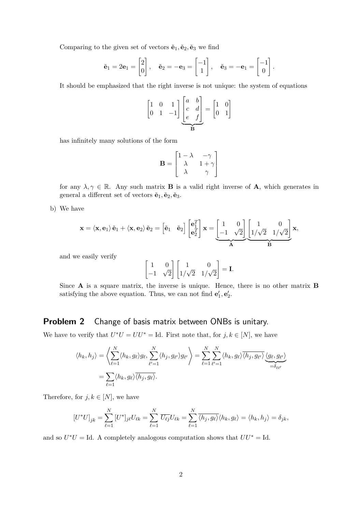Comparing to the given set of vectors  $\tilde{\mathbf{e}}_1, \tilde{\mathbf{e}}_2, \tilde{\mathbf{e}}_3$  we find

$$
\tilde{\mathbf{e}}_1 = 2\mathbf{e}_1 = \begin{bmatrix} 2 \\ 0 \end{bmatrix}, \quad \tilde{\mathbf{e}}_2 = -\mathbf{e}_3 = \begin{bmatrix} -1 \\ 1 \end{bmatrix}, \quad \tilde{\mathbf{e}}_3 = -\mathbf{e}_1 = \begin{bmatrix} -1 \\ 0 \end{bmatrix}.
$$

It should be emphasized that the right inverse is not unique: the system of equations

$$
\begin{bmatrix} 1 & 0 & 1 \ 0 & 1 & -1 \end{bmatrix} \underbrace{\begin{bmatrix} a & b \ c & d \ e & f \end{bmatrix}}_{\mathbf{B}} = \begin{bmatrix} 1 & 0 \ 0 & 1 \end{bmatrix}
$$

has infinitely many solutions of the form

$$
\mathbf{B} = \begin{bmatrix} 1 - \lambda & -\gamma \\ \lambda & 1 + \gamma \\ \lambda & \gamma \end{bmatrix}
$$

for any  $\lambda, \gamma \in \mathbb{R}$ . Any such matrix **B** is a valid right inverse of **A**, which generates in general a different set of vectors  $\tilde{\mathbf{e}}_1$ ,  $\tilde{\mathbf{e}}_2$ ,  $\tilde{\mathbf{e}}_3$ .

b) We have

$$
\mathbf{x} = \langle \mathbf{x}, \mathbf{e}_1 \rangle \tilde{\mathbf{e}}_1 + \langle \mathbf{x}, \mathbf{e}_2 \rangle \tilde{\mathbf{e}}_2 = \begin{bmatrix} \tilde{\mathbf{e}}_1 & \tilde{\mathbf{e}}_2 \end{bmatrix} \begin{bmatrix} \mathbf{e}_1^T \\ \mathbf{e}_2^T \end{bmatrix} \mathbf{x} = \underbrace{\begin{bmatrix} 1 & 0 \\ -1 & \sqrt{2} \end{bmatrix}}_{\mathbf{A}} \underbrace{\begin{bmatrix} 1 & 0 \\ 1/\sqrt{2} & 1/\sqrt{2} \end{bmatrix}}_{\mathbf{B}} \mathbf{x},
$$

and we easily verify

$$
\begin{bmatrix} 1 & 0 \\ -1 & \sqrt{2} \end{bmatrix} \begin{bmatrix} 1 & 0 \\ 1/\sqrt{2} & 1/\sqrt{2} \end{bmatrix} = \mathbf{I}.
$$

Since **A** is a square matrix, the inverse is unique. Hence, there is no other matrix **B** satisfying the above equation. Thus, we can not find  $\mathbf{e}'_1, \mathbf{e}'_2$ .

## **Problem 2** Change of basis matrix between ONBs is unitary.

We have to verify that  $U^*U = UU^* = \text{Id}$ . First note that, for  $j, k \in [N]$ , we have

$$
\langle h_k, h_j \rangle = \left\langle \sum_{\ell=1}^N \langle h_k, g_\ell \rangle g_\ell, \sum_{\ell'=1}^N \langle h_j, g_{\ell'} \rangle g_{\ell'} \right\rangle = \sum_{\ell=1}^N \sum_{\ell'=1}^N \langle h_k, g_\ell \rangle \overline{\langle h_j, g_{\ell'} \rangle} \underbrace{\langle g_\ell, g_{\ell'} \rangle}_{=\delta_{\ell \ell'}} = \sum_{\ell=1}^N \langle h_k, g_\ell \rangle \overline{\langle h_j, g_\ell \rangle}.
$$

Therefore, for  $j, k \in [N]$ , we have

$$
[U^*U]_{jk} = \sum_{\ell=1}^N [U^*]_{j\ell} U_{\ell k} = \sum_{\ell=1}^N \overline{U_{\ell j}} U_{\ell k} = \sum_{\ell=1}^N \overline{\langle h_j, g_\ell \rangle} \langle h_k, g_\ell \rangle = \langle h_k, h_j \rangle = \delta_{jk},
$$

and so  $U^*U = \text{Id}$ . A completely analogous computation shows that  $UU^* = \text{Id}$ .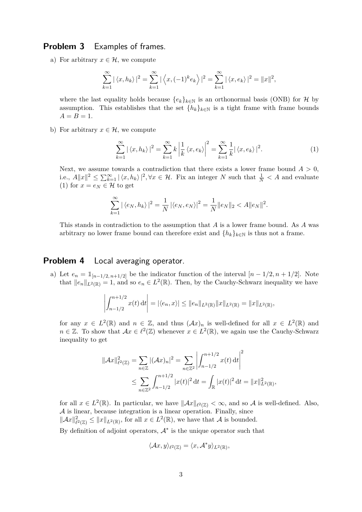### **Problem 3** Examples of frames.

a) For arbitrary  $x \in \mathcal{H}$ , we compute

$$
\sum_{k=1}^{\infty} |\langle x, h_k \rangle|^2 = \sum_{k=1}^{\infty} |\langle x, (-1)^k e_k \rangle|^2 = \sum_{k=1}^{\infty} |\langle x, e_k \rangle|^2 = ||x||^2,
$$

where the last equality holds because  ${e_k}_{k \in \mathbb{N}}$  is an orthonormal basis (ONB) for H by assumption. This establishes that the set  $\{h_k\}_{k\in\mathbb{N}}$  is a tight frame with frame bounds  $A = B = 1.$ 

b) For arbitrary  $x \in \mathcal{H}$ , we compute

$$
\sum_{k=1}^{\infty} |\langle x, h_k \rangle|^2 = \sum_{k=1}^{\infty} k \left| \frac{1}{k} \langle x, e_k \rangle \right|^2 = \sum_{k=1}^{\infty} \frac{1}{k} |\langle x, e_k \rangle|^2.
$$
 (1)

Next, we assume towards a contradiction that there exists a lower frame bound  $A > 0$ , i.e.,  $A||x||^2 \le \sum_{k=1}^{\infty} |\langle x, h_k \rangle|^2, \forall x \in \mathcal{H}$ . Fix an integer *N* such that  $\frac{1}{N} < A$  and evaluate (1) for  $x = e_N \in \mathcal{H}$  to get

$$
\sum_{k=1}^{\infty} |\langle e_N, h_k \rangle|^2 = \frac{1}{N} |\langle e_N, e_N \rangle|^2 = \frac{1}{N} ||e_N||_2 < A ||e_N||^2.
$$

This stands in contradiction to the assumption that *A* is a lower frame bound. As *A* was arbitrary no lower frame bound can therefore exist and  $\{h_k\}_{k\in\mathbb{N}}$  is thus not a frame.

#### **Problem 4** Local averaging operator.

a) Let  $e_n = \mathbb{1}_{[n-1/2, n+1/2]}$  be the indicator function of the interval  $[n-1/2, n+1/2]$ . Note that  $||e_n||_{L^2(\mathbb{R})} = 1$ , and so  $e_n \in L^2(\mathbb{R})$ . Then, by the Cauchy-Schwarz inequality we have

$$
\left| \int_{n-1/2}^{n+1/2} x(t) dt \right| = |\langle e_n, x \rangle| \leq ||e_n||_{L^2(\mathbb{R})} ||x||_{L^2(\mathbb{R})} = ||x||_{L^2(\mathbb{R})},
$$

for any  $x \in L^2(\mathbb{R})$  and  $n \in \mathbb{Z}$ , and thus  $(\mathcal{A}x)_n$  is well-defined for all  $x \in L^2(\mathbb{R})$  and  $n \in \mathbb{Z}$ . To show that  $Ax \in \ell^2(\mathbb{Z})$  whenever  $x \in L^2(\mathbb{R})$ , we again use the Cauchy-Schwarz inequality to get

$$
\|\mathcal{A}x\|_{\ell^2(\mathbb{Z})}^2 = \sum_{n \in \mathbb{Z}} |(\mathcal{A}x)_n|^2 = \sum_{n \in \mathbb{Z}^2} \left| \int_{n-1/2}^{n+1/2} x(t) dt \right|^2
$$
  

$$
\leq \sum_{n \in \mathbb{Z}^2} \int_{n-1/2}^{n+1/2} |x(t)|^2 dt = \int_{\mathbb{R}} |x(t)|^2 dt = \|x\|_{L^2(\mathbb{R})}^2,
$$

for all  $x \in L^2(\mathbb{R})$ . In particular, we have  $\|\mathcal{A}x\|_{\ell^2(\mathbb{Z})} < \infty$ , and so A is well-defined. Also, A is linear, because integration is a linear operation. Finally, since  $\|\mathcal{A}x\|_{\ell^2(\mathbb{Z})}^2 \leq \|x\|_{L^2(\mathbb{R})}$ , for all  $x \in L^2(\mathbb{R})$ , we have that A is bounded.

By definition of adjoint operators,  $A^*$  is the unique operator such that

$$
\langle \mathcal{A}x, y \rangle_{\ell^2(\mathbb{Z})} = \langle x, \mathcal{A}^*y \rangle_{L^2(\mathbb{R})},
$$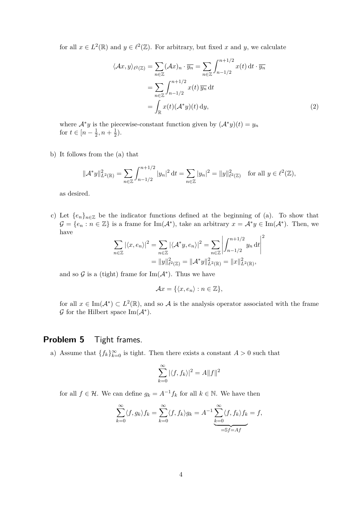for all  $x \in L^2(\mathbb{R})$  and  $y \in \ell^2(\mathbb{Z})$ . For arbitrary, but fixed x and y, we calculate

$$
\langle Ax, y \rangle_{\ell^2(\mathbb{Z})} = \sum_{n \in \mathbb{Z}} (\mathcal{A}x)_n \cdot \overline{y_n} = \sum_{n \in \mathbb{Z}} \int_{n-1/2}^{n+1/2} x(t) dt \cdot \overline{y_n}
$$

$$
= \sum_{n \in \mathbb{Z}} \int_{n-1/2}^{n+1/2} x(t) \overline{y_n} dt
$$

$$
= \int_{\mathbb{R}} x(t) (\mathcal{A}^* y)(t) dy,
$$
 (2)

where  $\mathcal{A}^*y$  is the piecewise-constant function given by  $(\mathcal{A}^*y)(t) = y_n$ for  $t \in [n - \frac{1}{2}]$  $\frac{1}{2}, n + \frac{1}{2}$  $(\frac{1}{2})$ .

b) It follows from the (a) that

$$
\|\mathcal{A}^* y\|_{L^2(\mathbb{R})}^2 = \sum_{n \in \mathbb{Z}} \int_{n-1/2}^{n+1/2} |y_n|^2 dt = \sum_{n \in \mathbb{Z}} |y_n|^2 = \|y\|_{\ell^2(\mathbb{Z})}^2 \quad \text{for all } y \in \ell^2(\mathbb{Z}),
$$

as desired.

c) Let  ${e_n}_{n\in\mathbb{Z}}$  be the indicator functions defined at the beginning of (a). To show that  $\mathcal{G} = \{e_n : n \in \mathbb{Z}\}\$ is a frame for  $\text{Im}(\mathcal{A}^*)$ , take an arbitrary  $x = \mathcal{A}^*y \in \text{Im}(\mathcal{A}^*)$ . Then, we have

$$
\sum_{n\in\mathbb{Z}} |\langle x, e_n \rangle|^2 = \sum_{n\in\mathbb{Z}} |\langle A^*y, e_n \rangle|^2 = \sum_{n\in\mathbb{Z}} \left| \int_{n-1/2}^{n+1/2} y_n \, \mathrm{d}t \right|^2
$$

$$
= \|y\|_{\ell^2(\mathbb{Z})}^2 = \|\mathcal{A}^*y\|_{L^2(\mathbb{R})}^2 = \|x\|_{L^2(\mathbb{R})}^2,
$$

and so  $\mathcal G$  is a (tight) frame for Im( $\mathcal A^*$ ). Thus we have

$$
\mathcal{A}x = \{ \langle x, e_n \rangle : n \in \mathbb{Z} \},\
$$

for all  $x \in \text{Im}(\mathcal{A}^*) \subset L^2(\mathbb{R})$ , and so A is the analysis operator associated with the frame  $\mathcal G$  for the Hilbert space Im( $\mathcal A^*$ ).

### **Problem 5** Tight frames.

a) Assume that  ${f_k}_{k=0}^{\infty}$  is tight. Then there exists a constant  $A > 0$  such that

$$
\sum_{k=0}^{\infty} |\langle f, f_k \rangle|^2 = A ||f||^2
$$

for all  $f \in \mathcal{H}$ . We can define  $g_k = A^{-1} f_k$  for all  $k \in \mathbb{N}$ . We have then

$$
\sum_{k=0}^{\infty} \langle f, g_k \rangle f_k = \sum_{k=0}^{\infty} \langle f, f_k \rangle g_k = A^{-1} \underbrace{\sum_{k=0}^{\infty} \langle f, f_k \rangle f_k}_{=\text{S}f = Af} = f,
$$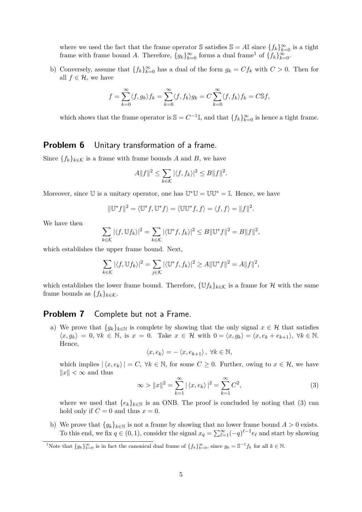where we used the fact that the frame operator S satisfies  $\mathbb{S} = A\mathbb{I}$  since  $\{f_k\}_{k=0}^{\infty}$  is a tight frame with frame bound *A*. Therefore,  ${g_k}_{k=0}^\infty$  forms a dual frame<sup>1</sup> of  ${f_k}_{k=0}^\infty$ .

b) Conversely, assume that  ${f_k}_{k=0}^{\infty}$  has a dual of the form  $g_k = Cf_k$  with  $C > 0$ . Then for all  $f \in \mathcal{H}$ , we have

$$
f = \sum_{k=0}^{\infty} \langle f, g_k \rangle f_k = \sum_{k=0}^{\infty} \langle f, f_k \rangle g_k = C \sum_{k=0}^{\infty} \langle f, f_k \rangle f_k = C \mathbb{S} f,
$$

which shows that the frame operator is  $\mathbb{S} = C^{-1} \mathbb{I}$ , and that  $\{f_k\}_{k=0}^{\infty}$  is hence a tight frame.

## **Problem 6** Unitary transformation of a frame.

Since  ${f_k}_{k \in K}$  is a frame with frame bounds *A* and *B*, we have

$$
A||f||^2 \le \sum_{k \in \mathcal{K}} |\langle f, f_k \rangle|^2 \le B||f||^2.
$$

Moreover, since  $\mathbb U$  is a unitary operator, one has  $\mathbb U^*\mathbb U=\mathbb U\mathbb U^*=\mathbb I$ . Hence, we have

$$
\|\mathbb{U}^*f\|^2 = \langle \mathbb{U}^*f, \mathbb{U}^*f \rangle = \langle \mathbb{U}\mathbb{U}^*f, f \rangle = \langle f, f \rangle = \|f\|^2.
$$

We have then

$$
\sum_{k \in \mathcal{K}} |\langle f, \mathbb{U} f_k \rangle|^2 = \sum_{k \in \mathcal{K}} |\langle \mathbb{U}^* f, f_k \rangle|^2 \leq B \|\mathbb{U}^* f\|^2 = B \|f\|^2,
$$

which establishes the upper frame bound. Next,

$$
\sum_{k \in \mathcal{K}} |\langle f, \mathbb{U} f_k \rangle|^2 = \sum_{j \in \mathcal{K}} |\langle \mathbb{U}^* f, f_k \rangle|^2 \ge A ||\mathbb{U}^* f||^2 = A ||f||^2,
$$

which establishes the lower frame bound. Therefore,  $\{Uf_k\}_{k\in\mathcal{K}}$  is a frame for H with the same frame bounds as  $\{f_k\}_{k \in \mathcal{K}}$ .

#### **Problem 7** Complete but not a Frame.

a) We prove that  ${g_k}_{k\in\mathbb{N}}$  is complete by showing that the only signal  $x \in \mathcal{H}$  that satisfies  $\langle x, g_k \rangle = 0$ , ∀ $k \in \mathbb{N}$ , is  $x = 0$ . Take  $x \in \mathcal{H}$  with  $0 = \langle x, g_k \rangle = \langle x, e_k + e_{k+1} \rangle$ , ∀ $k \in \mathbb{N}$ . Hence,

$$
\langle x, e_k \rangle = - \langle x, e_{k+1} \rangle \, , \, \forall k \in \mathbb{N},
$$

which implies  $|\langle x, e_k \rangle| = C$ ,  $\forall k \in \mathbb{N}$ , for some  $C \geq 0$ . Further, owing to  $x \in \mathcal{H}$ , we have  $||x|| < \infty$  and thus

$$
\infty > ||x||^2 = \sum_{k=1}^{\infty} |\langle x, e_k \rangle|^2 = \sum_{k=1}^{\infty} C^2,
$$
\n(3)

where we used that  ${e_k}_{k\in\mathbb{N}}$  is an ONB. The proof is concluded by noting that (3) can hold only if  $C = 0$  and thus  $x = 0$ .

b) We prove that  ${g_k}_{k\in\mathbb{N}}$  is not a frame by showing that no lower frame bound  $A > 0$  exists. To this end, we fix  $q \in (0,1)$ , consider the signal  $x_q = \sum_{\ell=1}^{\infty} (-q)^{\ell-1} e_{\ell}$  and start by showing

<sup>&</sup>lt;sup>1</sup>Note that  ${g_k}_{k=0}^{\infty}$  is in fact the canonical dual frame of  ${f_k}_{k=0}^{\infty}$ , since  $g_k = \mathbb{S}^{-1} f_k$  for all  $k \in \mathbb{N}$ .